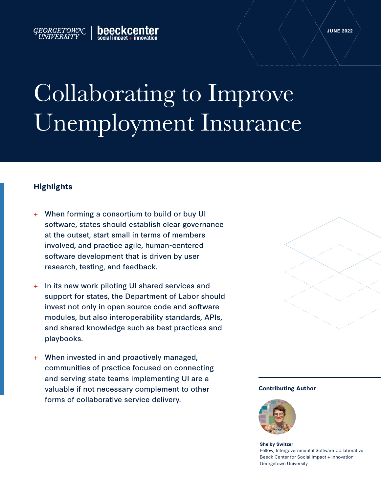# Collaborating to Improve Unemployment Insurance

## **Highlights**

GEORGETOWN

UNIVERSITY

When forming a consortium to build or buy UI software, states should establish clear governance at the outset, start small in terms of members involved, and practice agile, human-centered software development that is driven by user research, testing, and feedback.

heeckcent

- + In its new work piloting UI shared services and support for states, the Department of Labor should invest not only in open source code and software modules, but also interoperability standards, APIs, and shared knowledge such as best practices and playbooks.
- When invested in and proactively managed, communities of practice focused on connecting and serving state teams implementing UI are a valuable if not necessary complement to other forms of collaborative service delivery.



#### **Contributing Author**



**Shelby Switzer** Fellow, Intergovernmental Software Collaborative Beeck Center for Social Impact + Innovation Georgetown University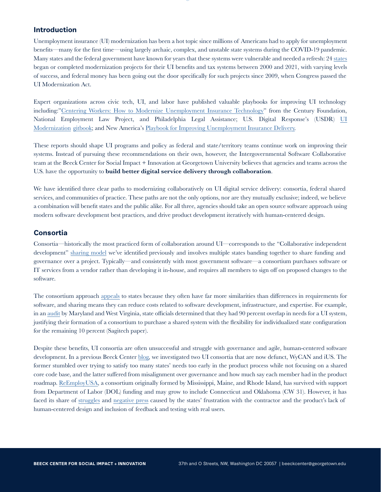#### **Introduction**

Unemployment insurance (UI) modernization has been a hot topic since millions of Americans had to apply for unemployment benefits—many for the first time—using largely archaic, complex, and unstable state systems during the COVID-19 pandemic. Many states and the federal government have known for years that these systems were vulnerable and needed a refresh: 24 [states](http://www.itsc.org/Pages/UI-IT-Mod2.aspx) began or completed modernization projects for their UI benefits and tax systems between 2000 and 2021, with varying levels of success, and federal money has been going out the door specifically for such projects since 2009, when Congress passed the UI Modernization Act.

Expert organizations across civic tech, UI, and labor have published valuable playbooks for improving UI technology including:["Centering Workers: How to Modernize Unemployment Insurance Technology](https://tcf.org/content/report/centering-workers-how-to-modernize-unemployment-insurance-technology/?agreed=1)" from the Century Foundation, [National Employment Law Project, and Philadelphia Legal Assistance; U.S. Digital Response's \(USDR\)](https://usdr.gitbook.io/unemployment-insurance-modernization/) UI Modernization [gitbook](https://usdr.gitbook.io/unemployment-insurance-modernization/); and New America's [Playbook for Improving Unemployment Insurance Delivery.](https://www.improveunemployment.com/)

These reports should shape UI programs and policy as federal and state/territory teams continue work on improving their systems. Instead of pursuing these recommendations on their own, however, the Intergovernmental Software Collaborative team at the Beeck Center for Social Impact + Innovation at Georgetown University believes that agencies and teams across the U.S. have the opportunity to **build better digital service delivery through collaboration**.

We have identified three clear paths to modernizing collaboratively on UI digital service delivery: consortia, federal shared services, and communities of practice. These paths are not the only options, nor are they mutually exclusive; indeed, we believe a combination will benefit states and the public alike. For all three, agencies should take an open source software approach using modern software development best practices, and drive product development iteratively with human-centered design.

#### **Consortia**

Consortia—historically the most practiced form of collaboration around UI—corresponds to the "Collaborative independent development" [sharing model](https://softwarecollaborative.org/models.html#collaborative-independent-development) we've identified previously and involves multiple states banding together to share funding and governance over a project. Typically—and consistently with most government software—a consortium purchases software or IT services from a vendor rather than developing it in-house, and requires all members to sign off on proposed changes to the software.

The consortium approach [appeals](https://library.naswa.org/doi/full/10.5555/20.500.11941/3405) to states because they often have far more similarities than differences in requirements for software, and sharing means they can reduce costs related to software development, infrastructure, and expertise. For example, in an [audit](https://cdn2.hubspot.net/hubfs/108364/docs/Neosurance-Consortium-case-study.pdf?__hstc=167563233.660c415f6dd5a16b4466bd1c6e4ac754.1653325608355.1653325608355.1653325608355.1&__hssc=167563233.1.1653325608355&__hsfp=3582120356&hsCtaTracking=9a30f587-99b4-47e4-8d17-9493da2bc0bc%7C79221971-c08d-4125-a80d-798167675902) by Maryland and West Virginia, state officials determined that they had 90 percent overlap in needs for a UI system, justifying their formation of a consortium to purchase a shared system with the flexibility for individualized state configuration for the remaining 10 percent (Sagitech paper).

Despite these benefits, UI consortia are often unsuccessful and struggle with governance and agile, human-centered software development. In a previous Beeck Center [blog](https://beeckcenter.georgetown.edu/learning-from-failure-when-sharing-software-doesnt-work/), we investigated two UI consortia that are now defunct, WyCAN and iUS. The former stumbled over trying to satisfy too many states' needs too early in the product process while not focusing on a shared core code base, and the latter suffered from misalignment over governance and how much say each member had in the product roadmap. [ReEmployUSA](https://www.uwcstrategy.org/wp-content/uploads/bsk-pdf-manager/2019/06/Jen-Jones-UI-Automated-Systems-215-SalonF.pdf), a consortium originally formed by Mississippi, Maine, and Rhode Island, has survived with support from Department of Labor (DOL) funding and may grow to include Connecticut and Oklahoma (CW 31). However, it has faced its share of [struggles](https://www.centralmaine.com/2018/03/11/document-maine-agency-botched-unemployment-system-rollout-destroyed-records/)) and [negative press](https://bangordailynews.com/2020/09/03/mainefocus/people-are-still-stuck-in-maines-unemployment-vortex-while-multi-state-leaders-havent-met/) caused by the states' frustration with the contractor and the product's lack of human-centered design and inclusion of feedback and testing with real users.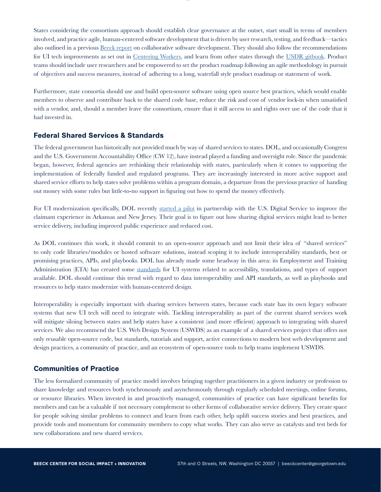States considering the consortium approach should establish clear governance at the outset, start small in terms of members involved, and practice agile, human-centered software development that is driven by user research, testing, and feedback—tactics also outlined in a previous [Beeck report](https://beeckcenter.georgetown.edu/report/sharing-government-software-how-agencies-are-cooperatively-building-mission-critical-software/) on collaborative software development. They should also follow the recommendations for UI tech improvements as set out in [Centering Workers](https://tcf.org/content/report/centering-workers-how-to-modernize-unemployment-insurance-technology/?agreed=1), and learn from other states through the [USDR gitbook.](https://usdr.gitbook.io/unemployment-insurance-modernization/) Product teams should include user researchers and be empowered to set the product roadmap following an agile methodology in pursuit of objectives and success measures, instead of adhering to a long, waterfall style product roadmap or statement of work.

Furthermore, state consortia should use and build open-source software using open source best practices, which would enable members to observe and contribute back to the shared code base, reduce the risk and cost of vendor lock-in when unsatisfied with a vendor, and, should a member leave the consortium, ensure that it still access to and rights over use of the code that it had invested in.

#### **Federal Shared Services & Standards**

The federal government has historically not provided much by way of shared services to states. DOL, and occasionally Congress and the U.S. Government Accountability Office (CW 12), have instead played a funding and oversight role. Since the pandemic began, however, federal agencies are rethinking their relationship with states, particularly when it comes to supporting the implementation of federally funded and regulated programs. They are increasingly interested in more active support and shared service efforts to help states solve problems within a program domain, a departure from the previous practice of handing out money with some rules but little-to-no support in figuring out how to spend the money effectively.

For UI modernization specifically, DOL recently [started a pilot](https://fcw.com/digital-government/2022/02/labor-dept-usds-pilot-new-unemployment-insurance-tech/361982/) in partnership with the U.S. Digital Service to improve the claimant experience in Arkansas and New Jersey. Their goal is to figure out how sharing digital services might lead to better service delivery, including improved public experience and reduced cost.

As DOL continues this work, it should commit to an open-source approach and not limit their idea of "shared services" to only code libraries/modules or hosted software solutions, instead scoping it to include interoperability standards, best or promising practices, APIs, and playbooks. DOL has already made some headway in this area: its Employment and Training Administration (ETA) has created some [standards](https://library.naswa.org/doi/full/10.5555/20.500.11941/3405) for UI systems related to accessibility, translations, and types of support available. DOL should continue this trend with regard to data interoperability and API standards, as well as playbooks and resources to help states modernize with human-centered design.

Interoperability is especially important with sharing services between states, because each state has its own legacy software systems that new UI tech will need to integrate with. Tackling interoperability as part of the current shared services work will mitigate siloing between states and help states have a consistent (and more efficient) approach to integrating with shared services. We also recommend the U.S. Web Design System (USWDS) as an example of a shared services project that offers not only reusable open-source code, but standards, tutorials and support, active connections to modern best web development and design practices, a community of practice, and an ecosystem of open-source tools to help teams implement USWDS.

### **Communities of Practice**

The less formalized community of practice model involves bringing together practitioners in a given industry or profession to share knowledge and resources both synchronously and asynchronously through regularly scheduled meetings, online forums, or resource libraries. When invested in and proactively managed, communities of practice can have significant benefits for members and can be a valuable if not necessary complement to other forms of collaborative service delivery. They create space for people solving similar problems to connect and learn from each other, help uplift success stories and best practices, and provide tools and momentum for community members to copy what works. They can also serve as catalysts and test beds for new collaborations and new shared services.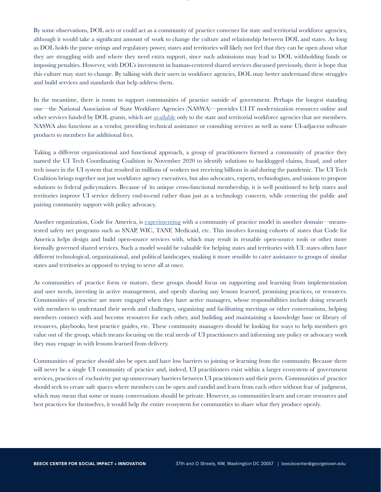By some observations, DOL acts or could act as a community of practice convener for state and territorial workforce agencies, although it would take a significant amount of work to change the culture and relationship between DOL and states. As long as DOL holds the purse strings and regulatory power, states and territories will likely not feel that they can be open about what they are struggling with and where they need extra support, since such admissions may lead to DOL withholding funds or imposing penalties. However, with DOL's investment in human-centered shared services discussed previously, there is hope that this culture may start to change. By talking with their users in workforce agencies, DOL may better understand these struggles and build services and standards that help address them.

In the meantime, there is room to support communities of practice outside of government. Perhaps the longest standing one—the National Association of State Workforce Agencies (NASWA)—provides UI IT modernization resources online and other services funded by DOL grants, which are [available](https://library.naswa.org/doi/full/10.5555/20.500.11941/3405) only to the state and territorial workforce agencies that are members. NASWA also functions as a vendor, providing technical assistance or consulting services as well as some UI-adjacent software products to members for additional fees.

Taking a different organizational and functional approach, a group of practitioners formed a community of practice they named the UI Tech Coordinating Coalition in November 2020 to identify solutions to backlogged claims, fraud, and other tech issues in the UI system that resulted in millions of workers not receiving billions in aid during the pandemic. The UI Tech Coalition brings together not just workforce agency executives, but also advocates, experts, technologists, and unions to propose solutions to federal policymakers. Because of its unique cross-functional membership, it is well positioned to help states and territories improve UI service delivery end-to-end rather than just as a technology concern, while centering the public and pairing community support with policy advocacy.

Another organization, Code for America, is [experimenting](https://codeforamerica.org/news/code-for-america-launches-new-initiative-to-transform-americas-social-safety-net) with a community of practice model in another domain—meanstested safety net programs such as SNAP, WIC, TANF, Medicaid, etc. This involves forming cohorts of states that Code for America helps design and build open-source services with, which may result in reusable open-source tools or other more formally governed shared services. Such a model would be valuable for helping states and territories with UI: states often have different technological, organizational, and political landscapes, making it more sensible to cater assistance to groups of similar states and territories as opposed to trying to serve all at once.

As communities of practice form or mature, these groups should focus on supporting and learning from implementation and user needs, investing in active management, and openly sharing any lessons learned, promising practices, or resources. Communities of practice are more engaged when they have active managers, whose responsibilities include doing research with members to understand their needs and challenges, organizing and facilitating meetings or other conversations, helping members connect with and become resources for each other, and building and maintaining a knowledge base or library of resources, playbooks, best practice guides, etc. These community managers should be looking for ways to help members get value out of the group, which means focusing on the real needs of UI practitioners and informing any policy or advocacy work they may engage in with lessons learned from delivery.

Communities of practice should also be open and have low barriers to joining or learning from the community. Because there will never be a single UI community of practice and, indeed, UI practitioners exist within a larger ecosystem of government services, practices of exclusivity put up unnecessary barriers between UI practitioners and their peers. Communities of practice should seek to create safe spaces where members can be open and candid and learn from each other without fear of judgment, which may mean that some or many conversations should be private. However, as communities learn and create resources and best practices for themselves, it would help the entire ecosystem for communities to share what they produce openly.